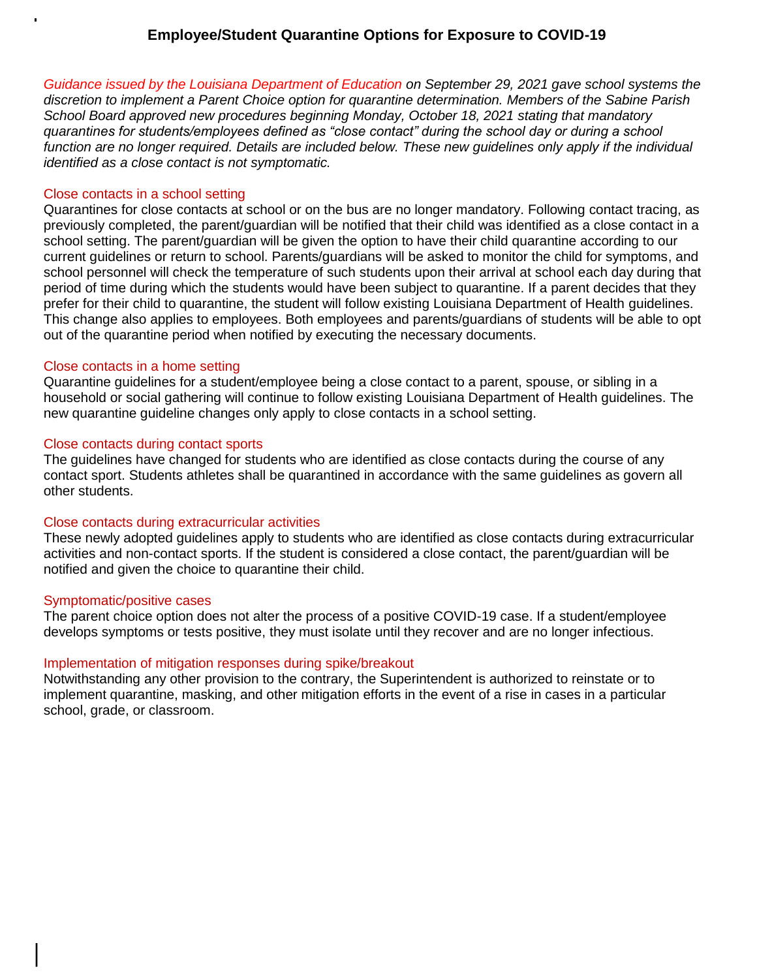# **Employee/Student Quarantine Options for Exposure to COVID-19**

*Guidance issued by the Louisiana Department of Education on September 29, 2021 gave school systems the discretion to implement a Parent Choice option for quarantine determination. Members of the Sabine Parish School Board approved new procedures beginning Monday, October 18, 2021 stating that mandatory quarantines for students/employees defined as "close contact" during the school day or during a school*  function are no longer required. Details are included below. These new quidelines only apply if the individual *identified as a close contact is not symptomatic.* 

#### Close contacts in a school setting

Quarantines for close contacts at school or on the bus are no longer mandatory. Following contact tracing, as previously completed, the parent/guardian will be notified that their child was identified as a close contact in a school setting. The parent/guardian will be given the option to have their child quarantine according to our current guidelines or return to school. Parents/guardians will be asked to monitor the child for symptoms, and school personnel will check the temperature of such students upon their arrival at school each day during that period of time during which the students would have been subject to quarantine. If a parent decides that they prefer for their child to quarantine, the student will follow existing Louisiana Department of Health guidelines. This change also applies to employees. Both employees and parents/guardians of students will be able to opt out of the quarantine period when notified by executing the necessary documents.

#### Close contacts in a home setting

Quarantine guidelines for a student/employee being a close contact to a parent, spouse, or sibling in a household or social gathering will continue to follow existing Louisiana Department of Health guidelines. The new quarantine guideline changes only apply to close contacts in a school setting.

#### Close contacts during contact sports

The guidelines have changed for students who are identified as close contacts during the course of any contact sport. Students athletes shall be quarantined in accordance with the same guidelines as govern all other students.

### Close contacts during extracurricular activities

These newly adopted guidelines apply to students who are identified as close contacts during extracurricular activities and non-contact sports. If the student is considered a close contact, the parent/guardian will be notified and given the choice to quarantine their child.

#### Symptomatic/positive cases

I

The parent choice option does not alter the process of a positive COVID-19 case. If a student/employee develops symptoms or tests positive, they must isolate until they recover and are no longer infectious.

### Implementation of mitigation responses during spike/breakout

Notwithstanding any other provision to the contrary, the Superintendent is authorized to reinstate or to implement quarantine, masking, and other mitigation efforts in the event of a rise in cases in a particular school, grade, or classroom.